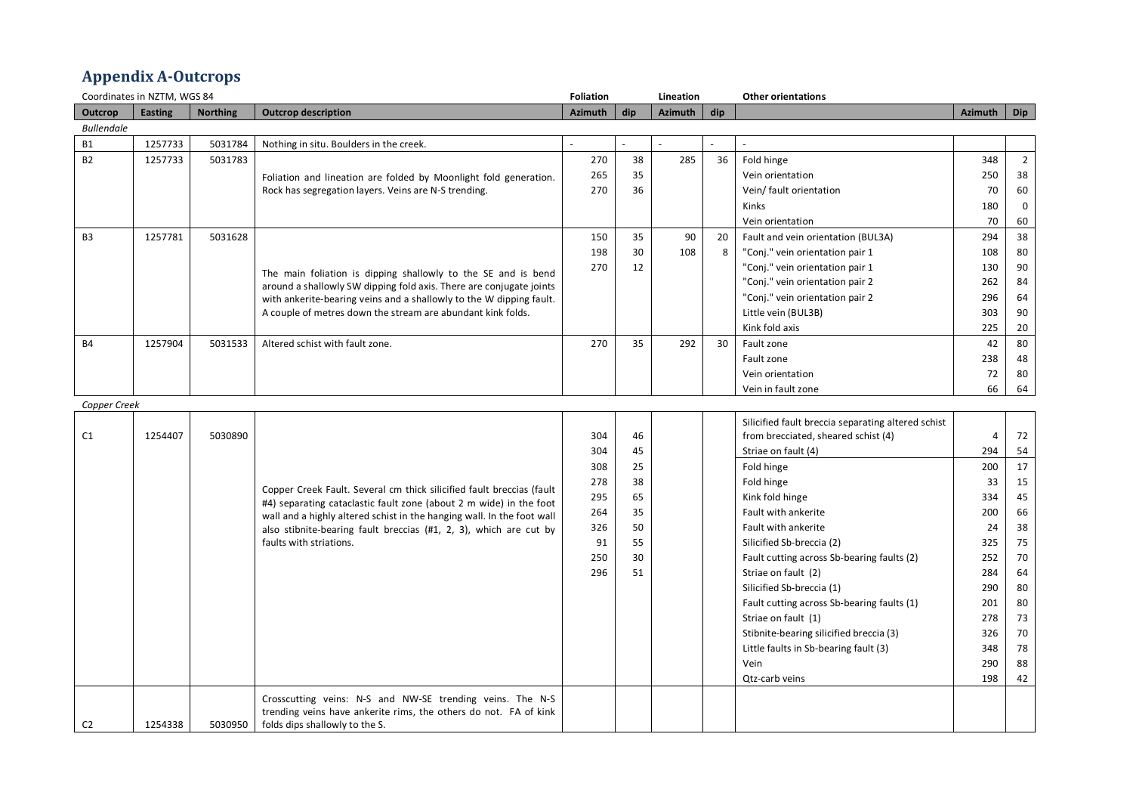## **Appendix A-Outcrops**

|                   | Coordinates in NZTM, WGS 84 |                 |                                                                        |                |     | Lineation      |     | <b>Other orientations</b>                          |                |                |
|-------------------|-----------------------------|-----------------|------------------------------------------------------------------------|----------------|-----|----------------|-----|----------------------------------------------------|----------------|----------------|
| Outcrop           | <b>Easting</b>              | <b>Northing</b> | <b>Outcrop description</b>                                             | <b>Azimuth</b> | dip | <b>Azimuth</b> | dip |                                                    | <b>Azimuth</b> | <b>Dip</b>     |
| <b>Bullendale</b> |                             |                 |                                                                        |                |     |                |     |                                                    |                |                |
| <b>B1</b>         | 1257733                     | 5031784         | Nothing in situ. Boulders in the creek.                                |                |     |                |     |                                                    |                |                |
| <b>B2</b>         | 1257733                     | 5031783         |                                                                        | 270            | 38  | 285            | 36  | Fold hinge                                         | 348            | $\overline{2}$ |
|                   |                             |                 | Foliation and lineation are folded by Moonlight fold generation.       | 265            | 35  |                |     | Vein orientation                                   | 250            | 38             |
|                   |                             |                 | Rock has segregation layers. Veins are N-S trending.                   | 270            | 36  |                |     | Vein/ fault orientation                            | 70             | 60             |
|                   |                             |                 |                                                                        |                |     |                |     | <b>Kinks</b>                                       | 180            | $\mathsf 0$    |
|                   |                             |                 |                                                                        |                |     |                |     | Vein orientation                                   | 70             | 60             |
| B3                | 1257781                     | 5031628         |                                                                        | 150            | 35  | 90             | 20  | Fault and vein orientation (BUL3A)                 | 294            | 38             |
|                   |                             |                 |                                                                        | 198            | 30  | 108            | 8   | "Conj." vein orientation pair 1                    | 108            | 80             |
|                   |                             |                 | The main foliation is dipping shallowly to the SE and is bend          | 270            | 12  |                |     | "Conj." vein orientation pair 1                    | 130            | 90             |
|                   |                             |                 | around a shallowly SW dipping fold axis. There are conjugate joints    |                |     |                |     | "Conj." vein orientation pair 2                    | 262            | 84             |
|                   |                             |                 | with ankerite-bearing veins and a shallowly to the W dipping fault.    |                |     |                |     | "Conj." vein orientation pair 2                    | 296            | 64             |
|                   |                             |                 | A couple of metres down the stream are abundant kink folds.            |                |     |                |     | Little vein (BUL3B)                                | 303            | 90             |
|                   |                             |                 |                                                                        |                |     |                |     | Kink fold axis                                     | 225            | 20             |
| <b>B4</b>         | 1257904                     | 5031533         | Altered schist with fault zone.                                        | 270            | 35  | 292            | 30  | Fault zone                                         | 42             | 80             |
|                   |                             |                 |                                                                        |                |     |                |     | Fault zone                                         | 238            | 48             |
|                   |                             |                 |                                                                        |                |     |                |     | Vein orientation                                   | 72             | 80             |
|                   |                             |                 |                                                                        |                |     |                |     | Vein in fault zone                                 | 66             | 64             |
| Copper Creek      |                             |                 |                                                                        |                |     |                |     |                                                    |                |                |
|                   |                             |                 |                                                                        |                |     |                |     | Silicified fault breccia separating altered schist |                |                |
| C1                | 1254407                     | 5030890         |                                                                        | 304            | 46  |                |     | from brecciated, sheared schist (4)                | 4              | 72             |
|                   |                             |                 |                                                                        | 304            | 45  |                |     | Striae on fault (4)                                | 294            | 54             |
|                   |                             |                 |                                                                        | 308            | 25  |                |     | Fold hinge                                         | 200            | 17             |
|                   |                             |                 | Copper Creek Fault. Several cm thick silicified fault breccias (fault  | 278            | 38  |                |     | Fold hinge                                         | 33             | 15             |
|                   |                             |                 | #4) separating cataclastic fault zone (about 2 m wide) in the foot     | 295            | 65  |                |     | Kink fold hinge                                    | 334            | 45             |
|                   |                             |                 | wall and a highly altered schist in the hanging wall. In the foot wall | 264            | 35  |                |     | Fault with ankerite                                | 200            | 66             |
|                   |                             |                 | also stibnite-bearing fault breccias (#1, 2, 3), which are cut by      | 326            | 50  |                |     | Fault with ankerite                                | 24             | 38             |
|                   |                             |                 | faults with striations.                                                | 91             | 55  |                |     | Silicified Sb-breccia (2)                          | 325            | 75             |
|                   |                             |                 |                                                                        | 250            | 30  |                |     | Fault cutting across Sb-bearing faults (2)         | 252            | 70             |
|                   |                             |                 |                                                                        | 296            | 51  |                |     | Striae on fault (2)                                | 284            | 64             |
|                   |                             |                 |                                                                        |                |     |                |     | Silicified Sb-breccia (1)                          | 290            | 80             |
|                   |                             |                 |                                                                        |                |     |                |     | Fault cutting across Sb-bearing faults (1)         | 201            | 80             |
|                   |                             |                 |                                                                        |                |     |                |     | Striae on fault (1)                                | 278            | 73             |
|                   |                             |                 |                                                                        |                |     |                |     | Stibnite-bearing silicified breccia (3)            | 326            | 70             |
|                   |                             |                 |                                                                        |                |     |                |     | Little faults in Sb-bearing fault (3)              | 348            | 78             |
|                   |                             |                 |                                                                        |                |     |                |     | Vein                                               | 290            | 88             |
|                   |                             |                 |                                                                        |                |     |                |     | Qtz-carb veins                                     | 198            | 42             |
|                   |                             |                 | Crosscutting veins: N-S and NW-SE trending veins. The N-S              |                |     |                |     |                                                    |                |                |
|                   |                             |                 | trending veins have ankerite rims, the others do not. FA of kink       |                |     |                |     |                                                    |                |                |
| C <sub>2</sub>    | 1254338                     | 5030950         | folds dips shallowly to the S.                                         |                |     |                |     |                                                    |                |                |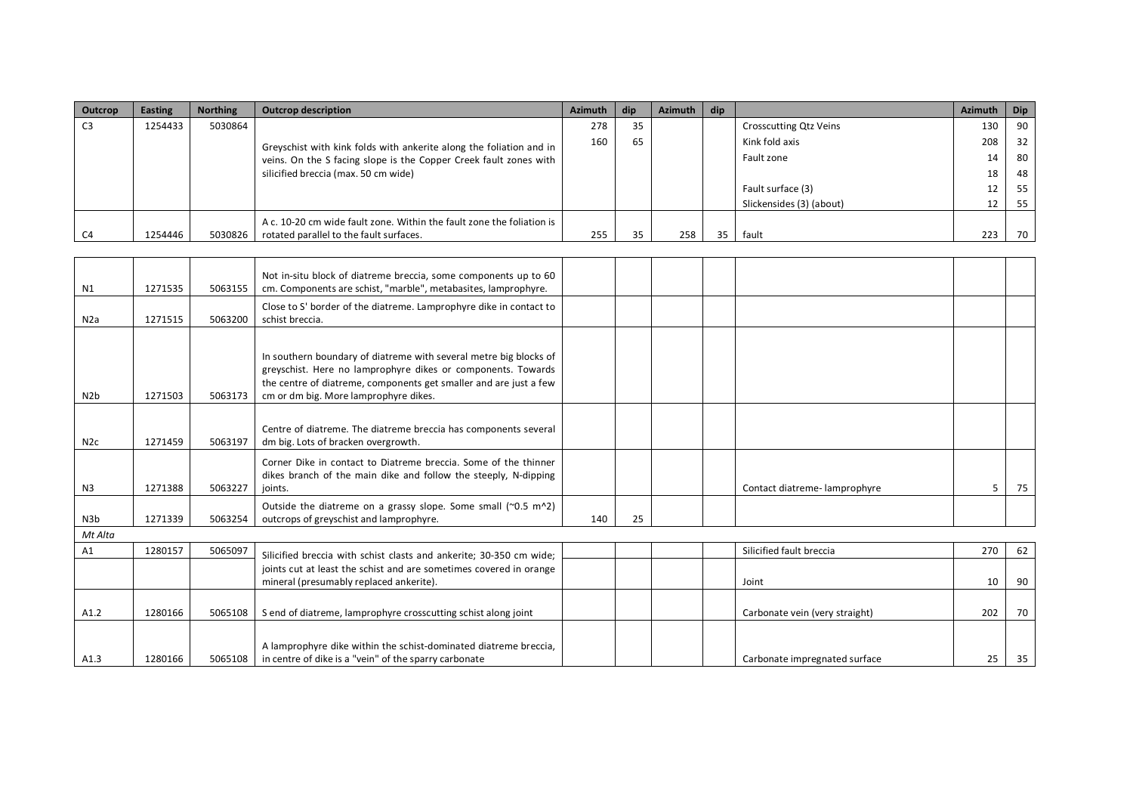| Outcrop | <b>Easting</b> | <b>Northing</b> | <b>Outcrop description</b>                                            | <b>Azimuth</b> | dip | Azimuth | dip |                               | <b>Azimuth</b> | <b>Dip</b> |
|---------|----------------|-----------------|-----------------------------------------------------------------------|----------------|-----|---------|-----|-------------------------------|----------------|------------|
| C3      | 1254433        | 5030864         |                                                                       | 278            | 35  |         |     | <b>Crosscutting Qtz Veins</b> | 130            | 90         |
|         |                |                 | Greyschist with kink folds with ankerite along the foliation and in   | 160            | 65  |         |     | Kink fold axis                | 208            | 32         |
|         |                |                 | veins. On the S facing slope is the Copper Creek fault zones with     |                |     |         |     | Fault zone                    | 14             | 80         |
|         |                |                 | silicified breccia (max. 50 cm wide)                                  |                |     |         |     |                               | 18             | 48         |
|         |                |                 |                                                                       |                |     |         |     | Fault surface (3)             | 12             | 55         |
|         |                |                 |                                                                       |                |     |         |     | Slickensides (3) (about)      | 12             | 55         |
|         |                |                 | A c. 10-20 cm wide fault zone. Within the fault zone the foliation is |                |     |         |     |                               |                |            |
| C4      | 1254446        | 5030826         | rotated parallel to the fault surfaces.                               | 255            | 35. | 258     | 35  | fault                         | 223            | 70         |

| N1               | 1271535 | 5063155 | Not in-situ block of diatreme breccia, some components up to 60<br>cm. Components are schist, "marble", metabasites, lamprophyre.                                                                                                               |     |    |                                |     |    |
|------------------|---------|---------|-------------------------------------------------------------------------------------------------------------------------------------------------------------------------------------------------------------------------------------------------|-----|----|--------------------------------|-----|----|
| N <sub>2</sub> a | 1271515 | 5063200 | Close to S' border of the diatreme. Lamprophyre dike in contact to<br>schist breccia.                                                                                                                                                           |     |    |                                |     |    |
| N <sub>2</sub> b | 1271503 | 5063173 | In southern boundary of diatreme with several metre big blocks of<br>greyschist. Here no lamprophyre dikes or components. Towards<br>the centre of diatreme, components get smaller and are just a few<br>cm or dm big. More lamprophyre dikes. |     |    |                                |     |    |
| N2c              | 1271459 | 5063197 | Centre of diatreme. The diatreme breccia has components several<br>dm big. Lots of bracken overgrowth.                                                                                                                                          |     |    |                                |     |    |
| N <sub>3</sub>   | 1271388 | 5063227 | Corner Dike in contact to Diatreme breccia. Some of the thinner<br>dikes branch of the main dike and follow the steeply, N-dipping<br>joints.                                                                                                   |     |    | Contact diatreme-lamprophyre   | 5   | 75 |
| N3b              | 1271339 | 5063254 | Outside the diatreme on a grassy slope. Some small $(2.5 \text{ m}^2)$<br>outcrops of greyschist and lamprophyre.                                                                                                                               | 140 | 25 |                                |     |    |
| Mt Alta          |         |         |                                                                                                                                                                                                                                                 |     |    |                                |     |    |
| A1               | 1280157 | 5065097 | Silicified breccia with schist clasts and ankerite; 30-350 cm wide;                                                                                                                                                                             |     |    | Silicified fault breccia       | 270 | 62 |
|                  |         |         | joints cut at least the schist and are sometimes covered in orange<br>mineral (presumably replaced ankerite).                                                                                                                                   |     |    | Joint                          | 10  | 90 |
| A1.2             | 1280166 | 5065108 | S end of diatreme, lamprophyre crosscutting schist along joint                                                                                                                                                                                  |     |    | Carbonate vein (very straight) | 202 | 70 |
| A1.3             | 1280166 | 5065108 | A lamprophyre dike within the schist-dominated diatreme breccia,<br>in centre of dike is a "vein" of the sparry carbonate                                                                                                                       |     |    | Carbonate impregnated surface  | 25  | 35 |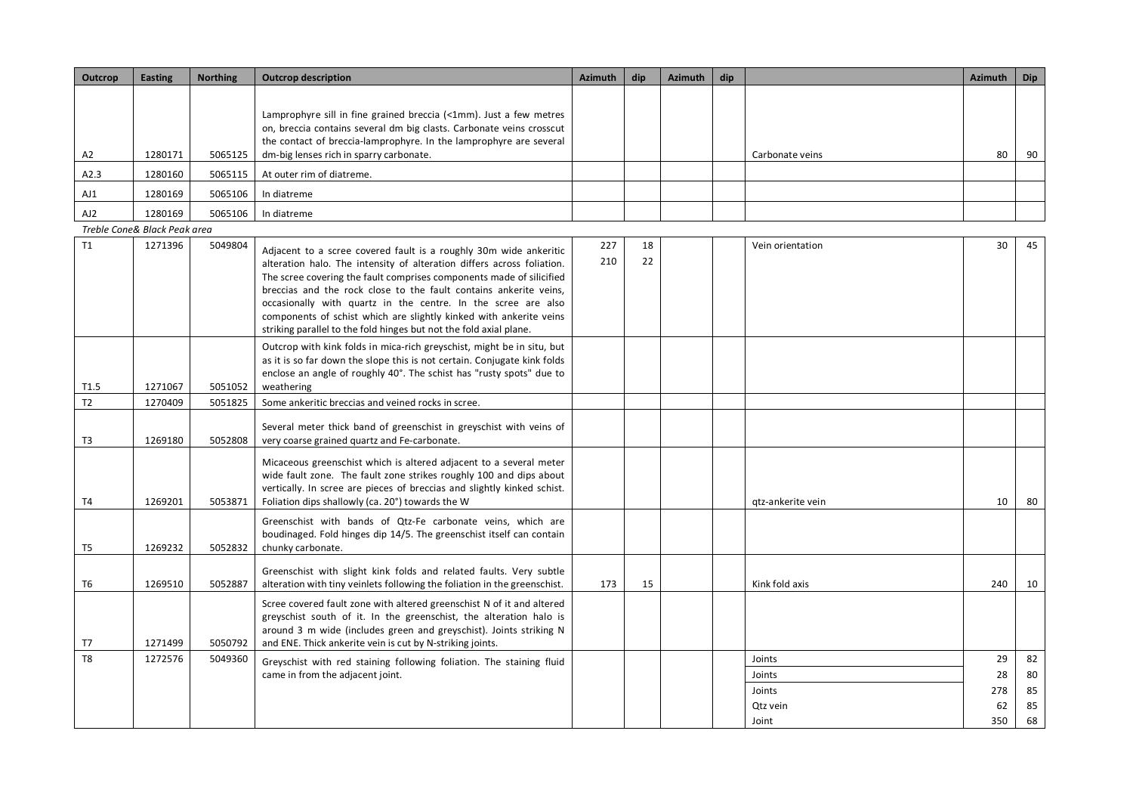| Outcrop        | <b>Easting</b>               | <b>Northing</b> | <b>Outcrop description</b>                                                                                                                                                                                                                                                                                                                                                                                                                                                                            |            | dip      | <b>Azimuth</b> | dip |                                                 | <b>Azimuth</b>               | <b>Dip</b>                 |
|----------------|------------------------------|-----------------|-------------------------------------------------------------------------------------------------------------------------------------------------------------------------------------------------------------------------------------------------------------------------------------------------------------------------------------------------------------------------------------------------------------------------------------------------------------------------------------------------------|------------|----------|----------------|-----|-------------------------------------------------|------------------------------|----------------------------|
| A2             | 1280171                      | 5065125         | Lamprophyre sill in fine grained breccia (<1mm). Just a few metres<br>on, breccia contains several dm big clasts. Carbonate veins crosscut<br>the contact of breccia-lamprophyre. In the lamprophyre are several<br>dm-big lenses rich in sparry carbonate.                                                                                                                                                                                                                                           |            |          |                |     | Carbonate veins                                 | 80                           | 90                         |
| A2.3           | 1280160                      | 5065115         | At outer rim of diatreme.                                                                                                                                                                                                                                                                                                                                                                                                                                                                             |            |          |                |     |                                                 |                              |                            |
| AJ1            | 1280169                      | 5065106         | In diatreme                                                                                                                                                                                                                                                                                                                                                                                                                                                                                           |            |          |                |     |                                                 |                              |                            |
| AJ2            | 1280169                      | 5065106         | In diatreme                                                                                                                                                                                                                                                                                                                                                                                                                                                                                           |            |          |                |     |                                                 |                              |                            |
|                | Treble Cone& Black Peak area |                 |                                                                                                                                                                                                                                                                                                                                                                                                                                                                                                       |            |          |                |     |                                                 |                              |                            |
| T1             | 1271396                      | 5049804         | Adjacent to a scree covered fault is a roughly 30m wide ankeritic<br>alteration halo. The intensity of alteration differs across foliation.<br>The scree covering the fault comprises components made of silicified<br>breccias and the rock close to the fault contains ankerite veins,<br>occasionally with quartz in the centre. In the scree are also<br>components of schist which are slightly kinked with ankerite veins<br>striking parallel to the fold hinges but not the fold axial plane. | 227<br>210 | 18<br>22 |                |     | Vein orientation                                | 30                           | 45                         |
| T1.5           | 1271067                      | 5051052         | Outcrop with kink folds in mica-rich greyschist, might be in situ, but<br>as it is so far down the slope this is not certain. Conjugate kink folds<br>enclose an angle of roughly 40°. The schist has "rusty spots" due to<br>weathering                                                                                                                                                                                                                                                              |            |          |                |     |                                                 |                              |                            |
| T2             | 1270409                      | 5051825         | Some ankeritic breccias and veined rocks in scree.                                                                                                                                                                                                                                                                                                                                                                                                                                                    |            |          |                |     |                                                 |                              |                            |
| T3             | 1269180                      | 5052808         | Several meter thick band of greenschist in greyschist with veins of<br>very coarse grained quartz and Fe-carbonate.                                                                                                                                                                                                                                                                                                                                                                                   |            |          |                |     |                                                 |                              |                            |
| <b>T4</b>      | 1269201                      | 5053871         | Micaceous greenschist which is altered adjacent to a several meter<br>wide fault zone. The fault zone strikes roughly 100 and dips about<br>vertically. In scree are pieces of breccias and slightly kinked schist.<br>Foliation dips shallowly (ca. 20°) towards the W                                                                                                                                                                                                                               |            |          |                |     | gtz-ankerite vein                               | 10                           | 80                         |
| T <sub>5</sub> | 1269232                      | 5052832         | Greenschist with bands of Qtz-Fe carbonate veins, which are<br>boudinaged. Fold hinges dip 14/5. The greenschist itself can contain<br>chunky carbonate.                                                                                                                                                                                                                                                                                                                                              |            |          |                |     |                                                 |                              |                            |
| T <sub>6</sub> | 1269510                      | 5052887         | Greenschist with slight kink folds and related faults. Very subtle<br>alteration with tiny veinlets following the foliation in the greenschist.                                                                                                                                                                                                                                                                                                                                                       | 173        | 15       |                |     | Kink fold axis                                  | 240                          | 10                         |
| T7             | 1271499                      | 5050792         | Scree covered fault zone with altered greenschist N of it and altered<br>greyschist south of it. In the greenschist, the alteration halo is<br>around 3 m wide (includes green and greyschist). Joints striking N<br>and ENE. Thick ankerite vein is cut by N-striking joints.                                                                                                                                                                                                                        |            |          |                |     |                                                 |                              |                            |
| T <sub>8</sub> | 1272576                      | 5049360         | Greyschist with red staining following foliation. The staining fluid<br>came in from the adjacent joint.                                                                                                                                                                                                                                                                                                                                                                                              |            |          |                |     | Joints<br>Joints<br>Joints<br>Qtz vein<br>Joint | 29<br>28<br>278<br>62<br>350 | 82<br>80<br>85<br>85<br>68 |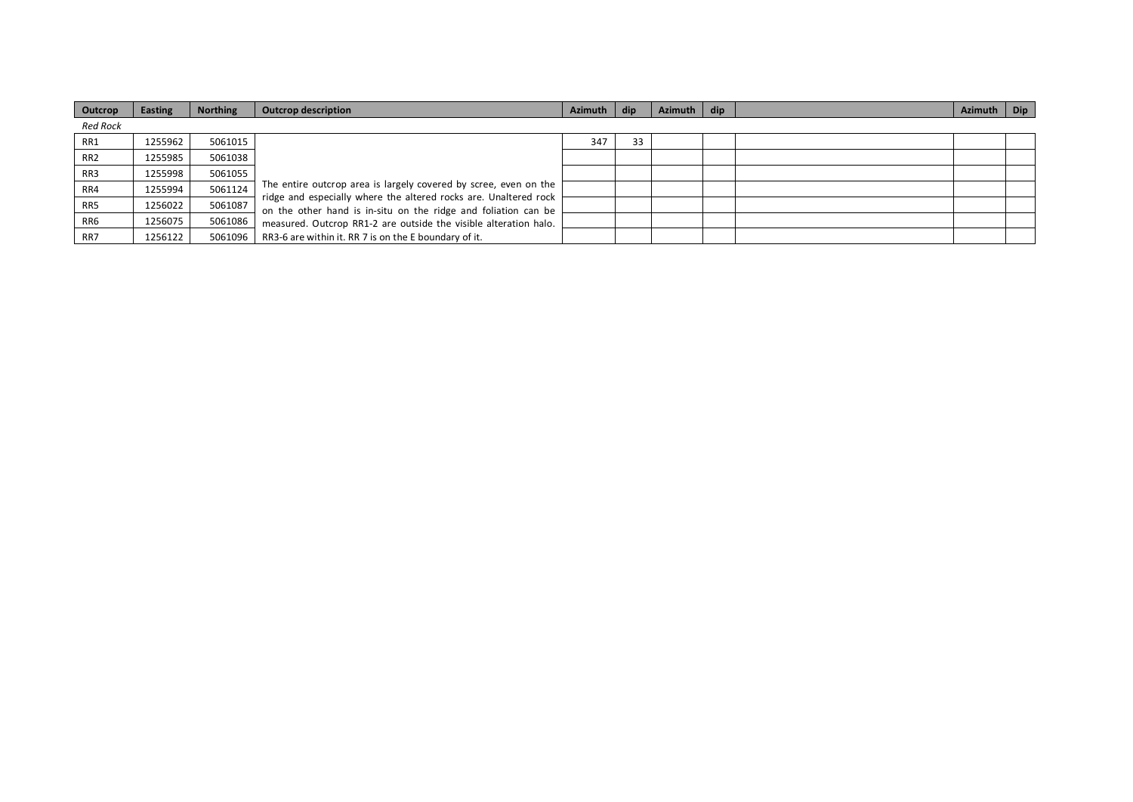| Outcrop         | Easting | <b>Northing</b> | <b>Outcrop description</b>                                                                                                         | <b>Azimuth</b> | dip | Azimuth | dip | <b>Azimuth</b> | <b>Dip</b> |
|-----------------|---------|-----------------|------------------------------------------------------------------------------------------------------------------------------------|----------------|-----|---------|-----|----------------|------------|
| <b>Red Rock</b> |         |                 |                                                                                                                                    |                |     |         |     |                |            |
| RR1             | 1255962 | 5061015         |                                                                                                                                    | 347            | 33  |         |     |                |            |
| RR <sub>2</sub> | 1255985 | 5061038         |                                                                                                                                    |                |     |         |     |                |            |
| RR3             | 1255998 | 5061055         |                                                                                                                                    |                |     |         |     |                |            |
| RR4             | 1255994 | 5061124         | The entire outcrop area is largely covered by scree, even on the                                                                   |                |     |         |     |                |            |
| RR5             | 1256022 | 5061087         | ridge and especially where the altered rocks are. Unaltered rock<br>on the other hand is in-situ on the ridge and foliation can be |                |     |         |     |                |            |
| RR6             | 1256075 | 5061086         | measured. Outcrop RR1-2 are outside the visible alteration halo.                                                                   |                |     |         |     |                |            |
| RR7             | 1256122 | 5061096         | RR3-6 are within it. RR 7 is on the E boundary of it.                                                                              |                |     |         |     |                |            |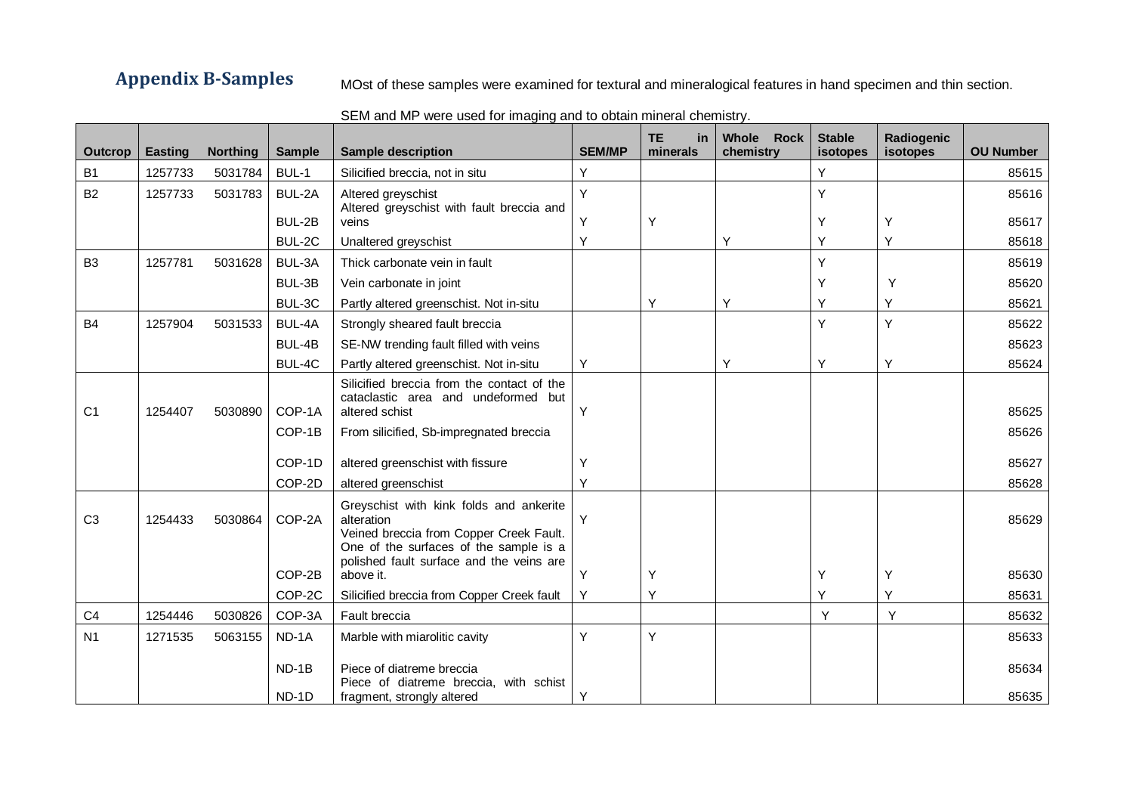**Appendix B-Samples** MOst of these samples were examined for textural and mineralogical features in hand specimen and thin section.

| Outcrop        | <b>Easting</b> | <b>Northing</b> | <b>Sample</b>    | <b>Sample description</b>                                                                                                                                                              | <b>SEM/MP</b> | <b>TE</b><br>in<br>minerals | Whole Rock<br>chemistry | <b>Stable</b><br>isotopes | Radiogenic<br>isotopes | <b>OU Number</b> |
|----------------|----------------|-----------------|------------------|----------------------------------------------------------------------------------------------------------------------------------------------------------------------------------------|---------------|-----------------------------|-------------------------|---------------------------|------------------------|------------------|
| B <sub>1</sub> | 1257733        | 5031784         | BUL-1            | Silicified breccia, not in situ                                                                                                                                                        | Y             |                             |                         | Y                         |                        | 85615            |
| <b>B2</b>      | 1257733        | 5031783         | BUL-2A           | Altered greyschist<br>Altered greyschist with fault breccia and                                                                                                                        | Y             |                             |                         | Y                         |                        | 85616            |
|                |                |                 | BUL-2B           | veins                                                                                                                                                                                  | Υ             | Υ                           |                         | Υ                         | Υ                      | 85617            |
|                |                |                 | BUL-2C           | Unaltered greyschist                                                                                                                                                                   | Y             |                             | Υ                       | Υ                         | Υ                      | 85618            |
| B <sub>3</sub> | 1257781        | 5031628         | BUL-3A           | Thick carbonate vein in fault                                                                                                                                                          |               |                             |                         | Y                         |                        | 85619            |
|                |                |                 | BUL-3B           | Vein carbonate in joint                                                                                                                                                                |               |                             |                         | Υ                         | Y                      | 85620            |
|                |                |                 | BUL-3C           | Partly altered greenschist. Not in-situ                                                                                                                                                |               | Υ                           | Υ                       | Υ                         | Υ                      | 85621            |
| <b>B4</b>      | 1257904        | 5031533         | BUL-4A           | Strongly sheared fault breccia                                                                                                                                                         |               |                             |                         | Y                         | Y                      | 85622            |
|                |                |                 | BUL-4B           | SE-NW trending fault filled with veins                                                                                                                                                 |               |                             |                         |                           |                        | 85623            |
|                |                |                 | BUL-4C           | Partly altered greenschist. Not in-situ                                                                                                                                                | Y             |                             | Y                       | Υ                         | Y                      | 85624            |
| C <sub>1</sub> | 1254407        | 5030890         | COP-1A           | Silicified breccia from the contact of the<br>cataclastic area and undeformed but<br>altered schist                                                                                    | Y             |                             |                         |                           |                        | 85625            |
|                |                |                 | COP-1B           | From silicified, Sb-impregnated breccia                                                                                                                                                |               |                             |                         |                           |                        | 85626            |
|                |                |                 | COP-1D           | altered greenschist with fissure                                                                                                                                                       | Υ             |                             |                         |                           |                        | 85627            |
|                |                |                 | COP-2D           | altered greenschist                                                                                                                                                                    | Y             |                             |                         |                           |                        | 85628            |
| C <sub>3</sub> | 1254433        | 5030864         | COP-2A           | Greyschist with kink folds and ankerite<br>alteration<br>Veined breccia from Copper Creek Fault.<br>One of the surfaces of the sample is a<br>polished fault surface and the veins are | Y             |                             |                         |                           |                        | 85629            |
|                |                |                 | COP-2B           | above it.                                                                                                                                                                              |               | Υ                           |                         | Υ                         | Υ                      | 85630            |
|                |                |                 | COP-2C           | Silicified breccia from Copper Creek fault                                                                                                                                             | Y             | Y                           |                         | Y                         | Y                      | 85631            |
| C <sub>4</sub> | 1254446        | 5030826         | COP-3A           | Fault breccia                                                                                                                                                                          |               |                             |                         | Y                         | Y                      | 85632            |
| N <sub>1</sub> | 1271535        | 5063155         | ND-1A            | Marble with miarolitic cavity                                                                                                                                                          | Y             | Υ                           |                         |                           |                        | 85633            |
|                |                |                 | $ND-1B$<br>ND-1D | Piece of diatreme breccia<br>Piece of diatreme breccia, with schist<br>fragment, strongly altered                                                                                      | Y             |                             |                         |                           |                        | 85634<br>85635   |

## SEM and MP were used for imaging and to obtain mineral chemistry.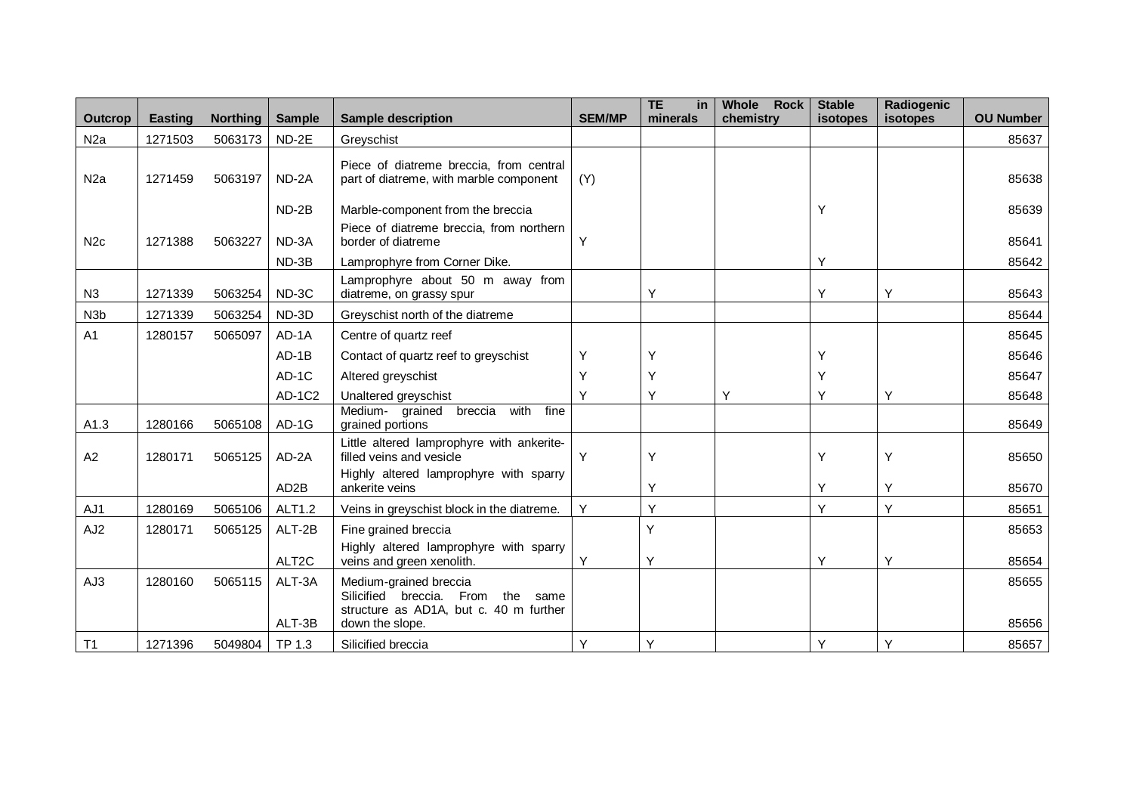| <b>Outcrop</b>   | <b>Easting</b> | Northing | <b>Sample</b>      | <b>Sample description</b>                                                                                       | <b>SEM/MP</b> | <b>TE</b><br><b>in</b><br>minerals | Whole<br><b>Rock</b><br>chemistry | <b>Stable</b><br>isotopes | Radiogenic<br>isotopes | <b>OU Number</b> |
|------------------|----------------|----------|--------------------|-----------------------------------------------------------------------------------------------------------------|---------------|------------------------------------|-----------------------------------|---------------------------|------------------------|------------------|
| N <sub>2</sub> a | 1271503        | 5063173  | ND-2E              | Greyschist                                                                                                      |               |                                    |                                   |                           |                        | 85637            |
| N <sub>2</sub> a | 1271459        | 5063197  | ND-2A              | Piece of diatreme breccia, from central<br>part of diatreme, with marble component                              | (Y)           |                                    |                                   |                           |                        | 85638            |
|                  |                |          | ND-2B              | Marble-component from the breccia                                                                               |               |                                    |                                   | Υ                         |                        | 85639            |
| N <sub>2c</sub>  | 1271388        | 5063227  | ND-3A              | Piece of diatreme breccia, from northern<br>border of diatreme                                                  | Y             |                                    |                                   |                           |                        | 85641            |
|                  |                |          | ND-3B              | Lamprophyre from Corner Dike.                                                                                   |               |                                    |                                   | Υ                         |                        | 85642            |
| N3               | 1271339        | 5063254  | ND-3C              | Lamprophyre about 50 m away from<br>diatreme, on grassy spur                                                    |               | Υ                                  |                                   | Υ                         | Y                      | 85643            |
| N <sub>3</sub> b | 1271339        | 5063254  | ND-3D              | Greyschist north of the diatreme                                                                                |               |                                    |                                   |                           |                        | 85644            |
| A <sub>1</sub>   | 1280157        | 5065097  | AD-1A              | Centre of quartz reef                                                                                           |               |                                    |                                   |                           |                        | 85645            |
|                  |                |          | $AD-1B$            | Contact of quartz reef to greyschist                                                                            | Y             | Y                                  |                                   | Υ                         |                        | 85646            |
|                  |                |          | $AD-1C$            | Altered greyschist                                                                                              | Υ             | Υ                                  |                                   | Υ                         |                        | 85647            |
|                  |                |          | AD-1C2             | Unaltered greyschist                                                                                            | Υ             | Υ                                  | Y                                 | Υ                         | Υ                      | 85648            |
| A1.3             | 1280166        | 5065108  | AD-1G              | Medium- grained<br>breccia<br>with<br>fine<br>grained portions                                                  |               |                                    |                                   |                           |                        | 85649            |
| A2               | 1280171        | 5065125  | AD-2A              | Little altered lamprophyre with ankerite-<br>filled veins and vesicle<br>Highly altered lamprophyre with sparry | Y             | Υ                                  |                                   | Υ                         | Υ                      | 85650            |
|                  |                |          | AD <sub>2</sub> B  | ankerite veins                                                                                                  |               | Υ                                  |                                   | Υ                         | Y                      | 85670            |
| AJ1              | 1280169        | 5065106  | ALT1.2             | Veins in greyschist block in the diatreme.                                                                      | Y             | Υ                                  |                                   | Y                         | Y                      | 85651            |
| AJ <sub>2</sub>  | 1280171        | 5065125  | ALT-2B             | Fine grained breccia                                                                                            |               | Υ                                  |                                   |                           |                        | 85653            |
|                  |                |          | ALT <sub>2</sub> C | Highly altered lamprophyre with sparry<br>veins and green xenolith.                                             | Y             | Υ                                  |                                   | Υ                         | Y                      | 85654            |
| AJ3              | 1280160        | 5065115  | ALT-3A             | Medium-grained breccia<br>From the same<br>Silicified breccia.<br>structure as AD1A, but c. 40 m further        |               |                                    |                                   |                           |                        | 85655            |
|                  |                |          | ALT-3B             | down the slope.                                                                                                 |               |                                    |                                   |                           |                        | 85656            |
| T <sub>1</sub>   | 1271396        | 5049804  | TP 1.3             | Silicified breccia                                                                                              | Y             | Υ                                  |                                   | Υ                         | Υ                      | 85657            |